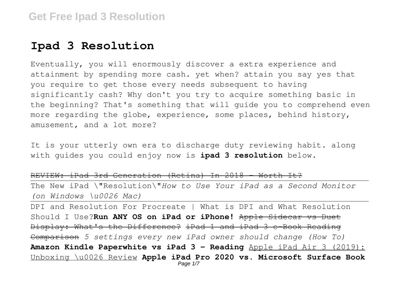# **Ipad 3 Resolution**

Eventually, you will enormously discover a extra experience and attainment by spending more cash. yet when? attain you say yes that you require to get those every needs subsequent to having significantly cash? Why don't you try to acquire something basic in the beginning? That's something that will guide you to comprehend even more regarding the globe, experience, some places, behind history, amusement, and a lot more?

It is your utterly own era to discharge duty reviewing habit. along with guides you could enjoy now is **ipad 3 resolution** below.

REVIEW: iPad 3rd Generation (Retina) In 2018 - Worth It?

The New iPad \"Resolution\"*How to Use Your iPad as a Second Monitor (on Windows \u0026 Mac)*

DPI and Resolution For Procreate | What is DPI and What Resolution Should I Use?**Run ANY OS on iPad or iPhone!** Apple Sidecar vs Duet Display: What's the Difference? iPad 1 and iPad 3 e-Book Reading Comparison *5 settings every new iPad owner should change (How To)* **Amazon Kindle Paperwhite vs iPad 3 - Reading** Apple iPad Air 3 (2019): Unboxing \u0026 Review **Apple iPad Pro 2020 vs. Microsoft Surface Book** Page 1/7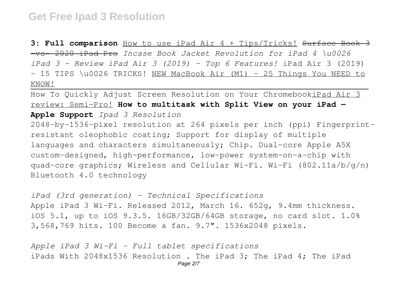**3: Full comparison** How to use iPad Air 4 + Tips/Tricks! Surface Book 3 -vs- 2020 iPad Pro *Incase Book Jacket Revolution for iPad 4 \u0026 iPad 3 - Review iPad Air 3 (2019) - Top 6 Features!* iPad Air 3 (2019)  $-$  15 TIPS \u0026 TRICKS! NEW MacBook Air (M1)  $-$  25 Things You NEED to KNOW!

How To Quickly Adjust Screen Resolution on Your ChromebookiPad Air 3 review: Semi-Pro! **How to multitask with Split View on your iPad — Apple Support** *Ipad 3 Resolution*

2048-by-1536-pixel resolution at 264 pixels per inch (ppi) Fingerprintresistant oleophobic coating; Support for display of multiple languages and characters simultaneously; Chip. Dual-core Apple A5X custom-designed, high-performance, low-power system-on-a-chip with quad-core graphics; Wireless and Cellular Wi-Fi. Wi-Fi  $(802.11a/b/q/n)$ Bluetooth 4.0 technology

*iPad (3rd generation) - Technical Specifications* Apple iPad 3 Wi-Fi. Released 2012, March 16. 652g, 9.4mm thickness. iOS 5.1, up to iOS 9.3.5. 16GB/32GB/64GB storage, no card slot. 1.0% 3,568,769 hits. 100 Become a fan. 9.7". 1536x2048 pixels.

*Apple iPad 3 Wi-Fi - Full tablet specifications* iPads With 2048x1536 Resolution . The iPad 3; The iPad 4; The iPad Page 2/7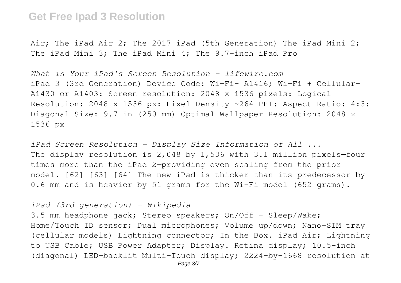Air; The iPad Air 2; The 2017 iPad (5th Generation) The iPad Mini 2; The iPad Mini 3; The iPad Mini 4; The 9.7-inch iPad Pro

*What is Your iPad's Screen Resolution - lifewire.com* iPad 3 (3rd Generation) Device Code: Wi-Fi- A1416; Wi-Fi + Cellular-A1430 or A1403: Screen resolution: 2048 x 1536 pixels: Logical Resolution: 2048 x 1536 px: Pixel Density ~264 PPI: Aspect Ratio: 4:3: Diagonal Size: 9.7 in (250 mm) Optimal Wallpaper Resolution: 2048 x 1536 px

*iPad Screen Resolution - Display Size Information of All ...* The display resolution is 2,048 by 1,536 with 3.1 million pixels—four times more than the iPad 2—providing even scaling from the prior model. [62] [63] [64] The new iPad is thicker than its predecessor by 0.6 mm and is heavier by 51 grams for the Wi-Fi model (652 grams).

#### *iPad (3rd generation) - Wikipedia*

3.5 mm headphone jack; Stereo speakers; On/Off - Sleep/Wake; Home/Touch ID sensor; Dual microphones; Volume up/down; Nano-SIM tray (cellular models) Lightning connector; In the Box. iPad Air; Lightning to USB Cable; USB Power Adapter; Display. Retina display; 10.5-inch (diagonal) LED-backlit Multi-Touch display; 2224-by-1668 resolution at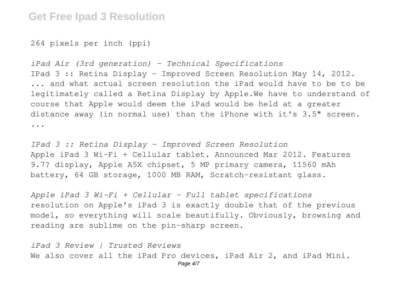264 pixels per inch (ppi)

*iPad Air (3rd generation) - Technical Specifications* IPad 3 :: Retina Display - Improved Screen Resolution May 14, 2012. ... and what actual screen resolution the iPad would have to be to be legitimately called a Retina Display by Apple.We have to understand of course that Apple would deem the iPad would be held at a greater distance away (in normal use) than the iPhone with it's 3.5" screen. ...

*IPad 3 :: Retina Display - Improved Screen Resolution* Apple iPad 3 Wi-Fi + Cellular tablet. Announced Mar 2012. Features 9.7? display, Apple A5X chipset, 5 MP primary camera, 11560 mAh battery, 64 GB storage, 1000 MB RAM, Scratch-resistant glass.

*Apple iPad 3 Wi-Fi + Cellular - Full tablet specifications* resolution on Apple's iPad 3 is exactly double that of the previous model, so everything will scale beautifully. Obviously, browsing and reading are sublime on the pin-sharp screen.

*iPad 3 Review | Trusted Reviews* We also cover all the iPad Pro devices, iPad Air 2, and iPad Mini.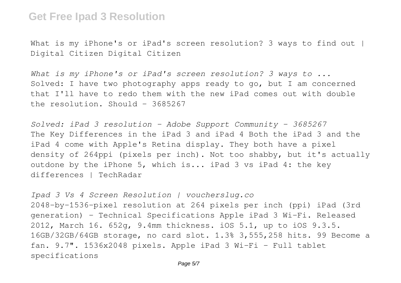What is my iPhone's or iPad's screen resolution? 3 ways to find out I Digital Citizen Digital Citizen

*What is my iPhone's or iPad's screen resolution? 3 ways to ...* Solved: I have two photography apps ready to go, but I am concerned that I'll have to redo them with the new iPad comes out with double the resolution. Should - 3685267

*Solved: iPad 3 resolution - Adobe Support Community - 3685267* The Key Differences in the iPad 3 and iPad 4 Both the iPad 3 and the iPad 4 come with Apple's Retina display. They both have a pixel density of 264ppi (pixels per inch). Not too shabby, but it's actually outdone by the iPhone 5, which is... iPad 3 vs iPad 4: the key differences | TechRadar

*Ipad 3 Vs 4 Screen Resolution | voucherslug.co* 2048-by-1536-pixel resolution at 264 pixels per inch (ppi) iPad (3rd generation) - Technical Specifications Apple iPad 3 Wi-Fi. Released 2012, March 16. 652g, 9.4mm thickness. iOS 5.1, up to iOS 9.3.5. 16GB/32GB/64GB storage, no card slot. 1.3% 3,555,258 hits. 99 Become a fan. 9.7". 1536x2048 pixels. Apple iPad 3 Wi-Fi - Full tablet specifications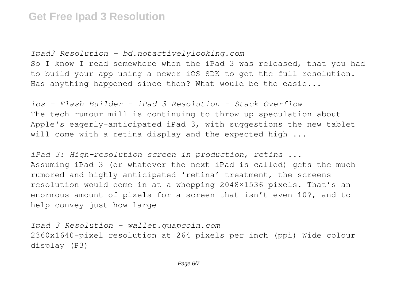*Ipad3 Resolution - bd.notactivelylooking.com* So I know I read somewhere when the iPad 3 was released, that you had to build your app using a newer iOS SDK to get the full resolution. Has anything happened since then? What would be the easie...

*ios - Flash Builder - iPad 3 Resolution - Stack Overflow* The tech rumour mill is continuing to throw up speculation about Apple's eagerly-anticipated iPad 3, with suggestions the new tablet will come with a retina display and the expected high ...

*iPad 3: High-resolution screen in production, retina ...* Assuming iPad 3 (or whatever the next iPad is called) gets the much rumored and highly anticipated 'retina' treatment, the screens resolution would come in at a whopping 2048×1536 pixels. That's an enormous amount of pixels for a screen that isn't even 10?, and to help convey just how large

*Ipad 3 Resolution - wallet.guapcoin.com* 2360x1640-pixel resolution at 264 pixels per inch (ppi) Wide colour display (P3)